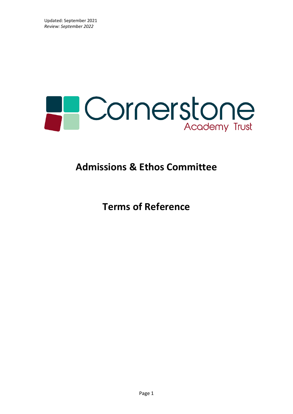

# **Admissions & Ethos Committee**

**Terms of Reference**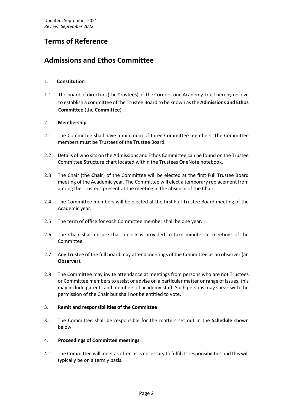## **Terms of Reference**

### **Admissions and Ethos Committee**

### 1. **Constitution**

1.1 The board of directors (the **Trustees**) of The Cornerstone Academy Trust hereby resolve to establish a committee of the Trustee Board to be known as the **Admissions and Ethos Committee** (the **Committee**).

### 2. **Membership**

- 2.1 The Committee shall have a minimum of three Committee members. The Committee members must be Trustees of the Trustee Board.
- 2.2 Details of who sits on the Admissions and Ethos Committee can be found on the Trustee Committee Structure chart located within the Trustees OneNote notebook.
- 2.3 The Chair (the **Chair**) of the Committee will be elected at the first Full Trustee Board meeting of the Academic year. The Committee will elect a temporary replacement from among the Trustees present at the meeting in the absence of the Chair.
- 2.4 The Committee members will be elected at the first Full Trustee Board meeting of the Academic year.
- 2.5 The term of office for each Committee member shall be one year.
- 2.6 The Chair shall ensure that a clerk is provided to take minutes at meetings of the Committee.
- 2.7 Any Trustee of the full board may attend meetings of the Committee as an observer (an **Observer)**.
- 2.8 The Committee may invite attendance at meetings from persons who are not Trustees or Committee members to assist or advise on a particular matter or range of issues, this may include parents and members of academy staff. Such persons may speak with the permission of the Chair but shall not be entitled to vote.

#### 3. **Remit and responsibilities of the Committee**

- 3.1 The Committee shall be responsible for the matters set out in the **Schedule** shown below.
- 4. **Proceedings of Committee meetings**
- 4.1 The Committee will meet as often as is necessary to fulfil its responsibilities and this will typically be on a termly basis.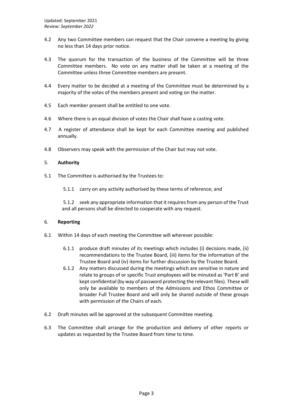- 4.2 Any two Committee members can request that the Chair convene a meeting by giving no less than 14 days prior notice.
- 4.3 The quorum for the transaction of the business of the Committee will be three Committee members. No vote on any matter shall be taken at a meeting of the Committee unless three Committee members are present.
- 4.4 Every matter to be decided at a meeting of the Committee must be determined by a majority of the votes of the members present and voting on the matter.
- 4.5 Each member present shall be entitled to one vote.
- 4.6 Where there is an equal division of votes the Chair shall have a casting vote.
- 4.7 A register of attendance shall be kept for each Committee meeting and published annually.
- 4.8 Observers may speak with the permission of the Chair but may not vote.

#### 5. **Authority**

- 5.1 The Committee is authorised by the Trustees to:
	- 5.1.1 carry on any activity authorised by these terms of reference; and

5.1.2 seek any appropriate information that it requires from any person of the Trust and all persons shall be directed to cooperate with any request.

#### 6. **Reporting**

- 6.1 Within 14 days of each meeting the Committee will wherever possible:
	- 6.1.1 produce draft minutes of its meetings which includes (i) decisions made, (ii) recommendations to the Trustee Board, (iii) items for the information of the Trustee Board and (iv) items for further discussion by the Trustee Board.
	- 6.1.2 Any matters discussed during the meetings which are sensitive in nature and relate to groups of or specific Trust employees will be minuted as 'Part B' and kept confidential (by way of password protecting the relevant files). These will only be available to members of the Admissions and Ethos Committee or broader Full Trustee Board and will only be shared outside of these groups with permission of the Chairs of each.
- 6.2 Draft minutes will be approved at the subsequent Committee meeting.
- 6.3 The Committee shall arrange for the production and delivery of other reports or updates as requested by the Trustee Board from time to time.